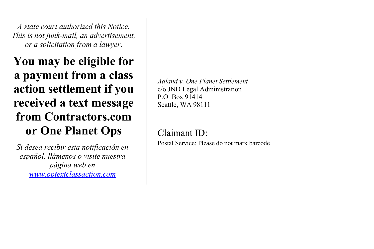*A state court authorized this Notice. This is not junk-mail, an advertisement, or a solicitation from a lawyer*.

**You may be eligible for a payment from a class action settlement if you received a text message from Contractors.com or One Planet Ops** 

*Si desea recibir esta notificación en español, llámenos o visite nuestra página web en www.optextclassaction.com*

*Aaland v. One Planet Settlement* c/o JND Legal Administration P.O. Box 91414 Seattle, WA 98111

Claimant ID: Postal Service: Please do not mark barcode